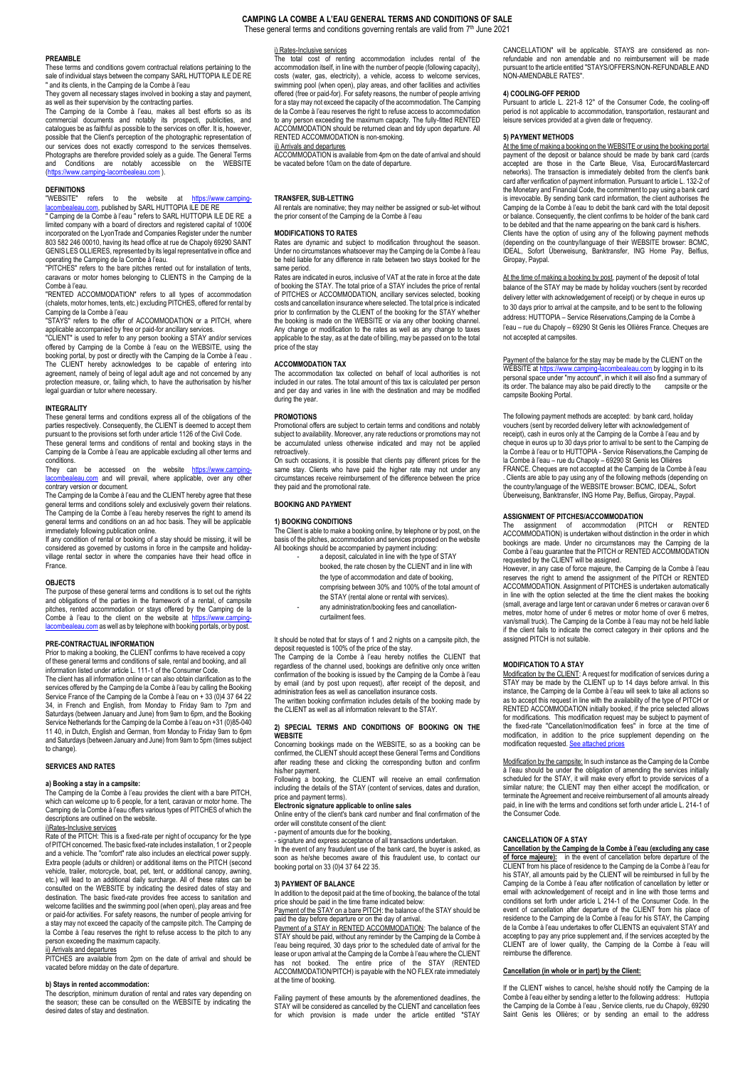# **CAMPING LA COMBE A L'EAU GENERAL TERMS AND CONDITIONS OF SALE** These general terms and conditions governing rentals are valid from 7<sup>th</sup> June 2021

#### **PREAMBLE**

These terms and conditions govern contractual relations pertaining to the sale of individual stays between the company SARL HUTTOPIA ILE DE RE " and its clients, in the Camping de la Combe à l'eau

They govern all necessary stages involved in booking a stay and payment. as well as their supervision by the contracting parties. The Camping de la Combe à l'eau, makes all best efforts so as its

commercial documents and notably its prospecti, publicities, and catalogues be as faithful as possible to the services on offer. It is, however, possible that the Client's perception of the photographic representation of our services does not exactly correspond to the services themselves. Photographs are therefore provided solely as a guide. The General Terms<br>and Conditions are notably accessible on the WEBSITE<br>(<u>https://www.camping-lacombealeau.com</u>).

# **DEFINITIONS**

"WEBSITE" refers to the website at https://www.c<u>amping-</u><br><u>lacombealeau.com</u>, published by SARL HUTTOPIA ILE DE RE<br>"Camping de la Combe à l'eau" refers to SARL HUTTOPIA ILE DE RE a<br>limited company with a board of directors

incorporated on the LyonTrade and Companies Register under the number 803 582 246 00010, having its head office at rue de Chapoly 69290 SAINT GENIS LES OLLIERES, represented by its legal representative in office and operating the Camping de la Combe à l'eau. "PITCHES" refers to the bare pitches rented out for installation of tents,

caravans or motor homes belonging to CLIENTS in the Camping de la Combe à l'eau.

"RENTED ACCOMMODATION" refers to all types of accommodation (chalets, motor homes, tents, etc.) excluding PITCHES, offered for rental by Camping de la Combe à l'eau<br>"STAYS" refers to the offer of

" refers to the offer of ACCOMMODATION or a PITCH, where

applicable accompanied by free or paid-for ancillary services. "CLIENT" is used to refer to any person booking a STAY and/or services offered by Camping de la Combe à l'eau on the WEBSITE, using the booking portal, by post or directly with the Camping de la Combe à l'eau . The CLIENT hereby acknowledges to be capable of entering into agreement, namely of being of legal adult age and not concerned by any protection measure, or, failing which, to have the authorisation by his/her legal guardian or tutor where necessary.

# **INTEGRALITY**

These general terms and conditions express all of the obligations of the parties respectively. Consequently, the CLIENT is deemed to accept them

pursuant to the provisions set forth under article 1126 of the Civil Code. These general terms and conditions of rental and booking stays in the Camping de la Combe à l'eau are applicable excluding all other terms and conditions.

They can be accessed on the website https://www.camping-<br>[lacombealeau.com](https://www.camping-lacombealeau.com/)</u> and will prevail, where applicable, over any other

contrary version or document. The Camping de la Combe à l'eau and the CLIENT hereby agree that these general terms and conditions solely and exclusively govern their relations. The Camping de la Combe à l'eau hereby reserves the right to amend its general terms and conditions on an ad hoc basis. They will be applicable

immediately following publication online.<br>If any condition of rental or booking of a stay should be missing, it will be<br>considered as governed by customs in force in the campsite and holiday-<br>village rental sector in where France.

# **OBJECTS**

The purpose of these general terms and conditions is to set out the rights and obligations of the parties in the framework of a rental, of campsite pitches, rented accommodation or stays offered by the Camping de la Combe à l'eau to the client on the website at https://www.camping-<br>lacombealeau.com as well as by telephone with booking portals, or by post.

**PRE-CONTRACTUAL INFORMATION**<br>Prior to making a booking, the CLIENT confirms to have received a copy<br>of these general terms and conditions of sale, rental and booking, and all<br>information listed under article L. 111-1 of t

The client has all information online or can also obtain clarification as to the<br>services offered by the Camping de la Combe à l'eau by calling the Booking<br>Service France of the Camping de la Combe à l'eau on + 33 (0)4 37 Saturdays (between January and June) from 9am to 6pm, and the Booking<br>Service Netherlands for the Camping de la Combe à l'eau on +31 (0)85-040<br>11 40, in Dutch, English and German, from Monday to Friday 9am to 6pm<br>and Satur to change).

# **SERVICES AND RATES**

# **a) Booking a stay in a campsite:**

The Camping de la Combe à l'eau provides the client with a bare PITCH, which can welcome up to 6 people, for a tent, caravan or motor home. The Camping de la Combe à l'eau offers various types of PITCHES of which the descriptions are outlined on the website.

<u>i)Rates-Inclusive services</u><br>Rate of the PITCH: This is a fixed-rate per night of occupancy for the type<br>of PITCH concerned. The basic fixed-rate includes installation, 1 or 2 people and a vehicle. The "comfort" rate also includes an electrical power supply. Extra people (adults or children) or additional items on the PITCH (second vehicle, trailer, motorcycle, boat, pet, tent, or additional canopy, awning, etc.) will lead to an additional daily surcharge. All of these rates can be consulted on the WEBSITE by indicating the desired dates of stay and destination. The basic fixed-rate provides free access to sanitation and welcome facilities and the swimming pool (when open), play areas and free<br>or paid-for activities. For safety reasons, the number of people arriving for<br>a stay may not exceed the capacity of the campsite pitch. The Camping la Combe à l'eau reserves the right to refuse access to the pitch to any person exceeding the maximum capacity.

ii) Arrivals and departures<br>PITCHES are available from 2pm on the date of arrival and should be vacated before midday on the date of departure.

**b) Stays in rented accommodation:** The description, minimum duration of rental and rates vary depending on the season; these can be consulted on the WEBSITE by indicating the desired dates of stay and destination. i) Rates-Inclusive services

The total cost of renting accommodation includes rental of the accommodation itself, in line with the number of people (following capacity), costs (water, gas, electricity), a vehicle, access to welcome services swimming pool (when open), play areas, and other facilities and activities offered (free or paid-for). For safety reasons, the number of people arriving for a stay may not exceed the capacity of the accommodation. The Camping de la Combe à l'eau reserves the right to refuse access to accommodation to any person exceeding the maximum capacity. The fully-fitted RENTED ACCOMMODATION should be returned clean and tidy upon departure. All RENTED ACCOMMODATION is non-smoking.

be vacated before 10am on the date of departure.

# **TRANSFER, SUB-LETTING**

All rentals are nominative; they may neither be assigned or sub-let without the prior consent of the Camping de la Combe à l'eau

#### **MODIFICATIONS TO RATES**

Rates are dynamic and subject to modification throughout the season. Under no circumstances whatsoever may the Camping de la Combe à l'eau be held liable for any difference in rate between two stays booked for the same period.

Rates are indicated in euros, inclusive of VAT at the rate in force at the date of booking the STAY. The total price of a STAY includes the price of rental of PITCHES or ACCOMMODATION, ancillary services selected, booking costs and cancellation insurance where selected. The total price is indicated prior to confirmation by the CLIENT of the booking for the STAY whether the booking is made on the WEBSITE or via any other booking channel. Any change or modification to the rates as well as any change to taxes applicable to the stay, as at the date of billing, may be passed on to the total price of the stay

# **ACCOMMODATION TAX**

The accommodation tax collected on behalf of local authorities is not included in our rates. The total amount of this tax is calculated per person and per day and varies in line with the destination and may be modified during the year.

### **PROMOTIONS**

Promotional offers are subject to certain terms and conditions and notably subject to availability. Moreover, any rate reductions or promotions may not be accumulated unless otherwise indicated and may not be applied retroactively.

On such occasions, it is possible that clients pay different prices for the same stay. Clients who have paid the higher rate may not under any circumstances receive reimbursement of the difference between the price they paid and the promotional rate.

# **BOOKING AND PAYMENT**

#### **1) BOOKING CONDITIONS**

The Client is able to make a booking online, by telephone or by post, on the basis of the pitches, accommodation and services proposed on the website All bookings should be accompanied by payment including:

|  | a deposit, calculated in line with the type of STAY    |
|--|--------------------------------------------------------|
|  | booked, the rate chosen by the CLIENT and in line with |
|  | the type of accommodation and date of booking,         |
|  | comprising between 30% and 100% of the total amount of |
|  | the STAY (rental alone or rental with services).       |
|  | any administration/booking fees and cancellation-      |

curtailment fees.

It should be noted that for stays of 1 and 2 nights on a campsite pitch, the deposit requested is 100% of the price of the stay. The Camping de la Combe à l'eau hereby notifies the CLIENT that regardless of the channel used, bookings are definitive only once written

confirmation of the booking is issued by the Camping de la Combe à l'eau by email (and by post upon request), after receipt of the deposit, and administration fees as well as cancellation insurance costs. The written booking confirmation includes details of the booking made by

the CLIENT as well as all information relevant to the STAY.

# **2) SPECIAL TERMS AND CONDITIONS OF BOOKING ON THE WEBSITE**

Concerning bookings made on the WEBSITE, so as a booking can be confirmed, the CLIENT should accept these General Terms and Conditions after reading these and clicking the corresponding button and confirm his/her payment.

Following a booking, the CLIENT will receive an email confirmation including the details of the STAY (content of services, dates and duration, price and payment terms).<br>**Electronic signature applicable to online sales**<br>Online entry of the client's bank card number and final confirmation of the

order will constitute consent of the client:

- payment of amounts due for the booking

signature and express acceptance of all transactions undertaken. In the event of any fraudulent use of the bank card, the buyer is asked, as soon as he/she becomes aware of this fraudulent use, to contact our booking portal on 33 (0)4 37 64 22 35.

#### **3) PAYMENT OF BALANCE**

In addition to the deposit paid at the time of booking, the balance of the total price should be paid in the time frame indicated below:

Payment of the STAY on a bare PITCH: the balance of the STAY should be paid the day before departure or on the day of arrival.

Payment of a STAY in RENTED ACCOMMODATION: The balance of the<br>STAY should be paid, without any reminder by the Camping de la Combe à l'eau being required, 30 days prior to the scheduled date of arrival for the lease or upon arrival at the Camping de la Combe à l'eau where the CLIENT has not booked. The entire price of the STAY (RENTED ACCOMMODATION/PITCH) is payable with the NO FLEX rate immediately at the time of booking.

Failing payment of these amounts by the aforementioned deadlines, the STAY will be considered as cancelled by the CLIENT and cancellation fees for which provision is made under the article entitled "STAY CANCELLATION" will be applicable. STAYS are considered as nonrefundable and non amendable and no reimbursement will be made pursuant to the article entitled "STAYS/OFFERS/NON-REFUNDABLE AND pursuant to the article enuueu<br>NON-AMENDABLE RATES".

# **4) COOLING-OFF PERIOD**

Pursuant to article L. 221-8 12° of the Consumer Code, the cooling-off period is not applicable to accommodation, transportation, restaurant and leisure services provided at a given date or frequency.

# **5) PAYMENT METHODS**

At the time of making a booking on the WEBSITE or using the booking portal payment of the deposit or balance should be made by bank card (cards accepted are those in the Carte Bleue, Visa, Eurocard/Mastercard networks). The transaction is immediately debited from the client's bank card after verification of payment information. Pursuant to article L. 132-2 of the Monetary and Financial Code, the commitment to pay using a bank card is irrevocable. By sending bank card information, the client authorises the Camping de la Combe à l'eau to debit the bank card with the total deposit or balance. Consequently, the client confirms to be holder of the bank card to be debited and that the name appearing on the bank card is his/hers. Clients have the option of using any of the following payment methods (depending on the country/language of their WEBSITE browser: BCMC, IDEAL, Sofort Überweisung, Banktransfer, ING Home Pay, Belfius, Giropay, Paypal.

At the time of making a booking by post, payment of the deposit of total balance of the STAY may be made by holiday vouchers (sent by recorded delivery letter with acknowledgement of receipt) or by cheque in euros up to 30 days prior to arrival at the campsite, and to be sent to the following address: HUTTOPIA – Service Réservations,Camping de la Combe à l'eau – rue du Chapoly – 69290 St Genis les Ollières France. Cheques are not accepted at campsites.

Payment of the balance for the stay may be made by the CLIENT on the WEBSITE a[t https://www.camping-lacombealeau.com](https://www.camping-lacombealeau.com/) by logging in to its wells of the more of the personal space under "my account", in which it will also find a summary of its order. The balance may also be paid directly to the campsite or the campsite Booking Portal.

The following payment methods are accepted: by bank card, holiday vouchers (sent by recorded delivery letter with acknowledgement of receipt), cash in euros only at the Camping de la Combe à l'eau and by cheque in euros up to 30 days prior to arrival to be sent to the Camping de la Combe à l'eau or to HUTTOPIA - Service Réservations,the Camping de<br>la Combe à l'eau - rue du Chapoly - 69290 St Genis les Ollières<br>FRANCE. Cheques are not accepted at the Camping de la Combe à l'eau<br>. Clients are able t

**ASSIGNMENT OF PITCHES/ACCOMMODATION**<br>The assignment of accommodation (PITCH or RENTED<br>ACCOMMODATION) is undertaken without distinction in the order in which bookings are made. Under no circumstances may the Camping de la<br>Combe à l'eau guarantee that the PITCH or RENTED ACCOMMODATION<br>requested by the CLIENT will be assigned.<br>However, in any case of force majeure, the Camping de

ACCOMMODATION. Assignment of PITCHES is undertaken automatically in line with the option selected at the time the client makes the booking (small, average and large tent or caravan under 6 metres or caravan over 6 metres, motor home of under 6 metres or motor home of over 6 metres, van/small truck). The Camping de la Combe à l'eau may not be held liable if the client fails to indicate the correct category in their options and the assigned PITCH is not suitable.

# **MODIFICATION TO A STAY**

Modification by the CLIENT: A request for modification of services during a STAY may be made by the CLIENT up to 14 days before arrival. In this instance, the Camping de la Combe à l'eau will seek to take all actions so as to accept this request in line with the availability of the type of PITCH or RENTED ACCOMMODATION initially booked, if the price selected allows for modifications. This modification request may be subject to payment of the fixed-rate "Cancellation/modification fees" in force at the time of modification, in addition to the price supplement depending on the modification requested. See

Modification by the campsite: In such instance as the Camping de la Combe à l'eau should be under the obligation of amending the services initially scheduled for the STAY, it will make every effort to provide services of a similar nature; the CLIENT may then either accept the modification, or terminate the Agreement and receive reimbursement of all amounts already paid, in line with the terms and conditions set forth under article L. 214-1 of the Consumer Code.

# **CANCELLATION OF A STAY**

**Cancellation by the Camping de la Combe à l'eau (excluding any case of force majeure):** in the event of cancellation before departure of the CLIENT from his place of residence to the Camping de la Combe à l'eau for his STAY, all amounts paid by the CLIENT will be reimbursed in full by the Camping de la Combe à l'eau after notification of cancellation by letter or email with acknowledgement of receipt and in line with those terms and conditions set forth under article L 214-1 of the Consumer Code. In the event of cancellation after departure of the CLIENT from his place of residence to the Camping de la Combe à l'eau for his STAY, the Camping de la Combe à l'eau undertakes to offer CLIENTS an equivalent STAY and accepting to pay any price supplement and, if the services accepted by the CLIENT are of lower quality, the Camping de la Combe à l'eau will reimburse the difference.

# **Cancellation (in whole or in part) by the Client:**

If the CLIENT wishes to cancel, he/she should notify the Camping de la Combe à l'eau either by sending a letter to the following address: Huttopia the Camping de la Combe à l'eau , Service clients, rue du Chapoly, 69290 Saint Genis les Ollières; or by sending an email to the address

# ii) Arrivals and departures

ACCOMMODATION is available from 4pm on the date of arrival and should